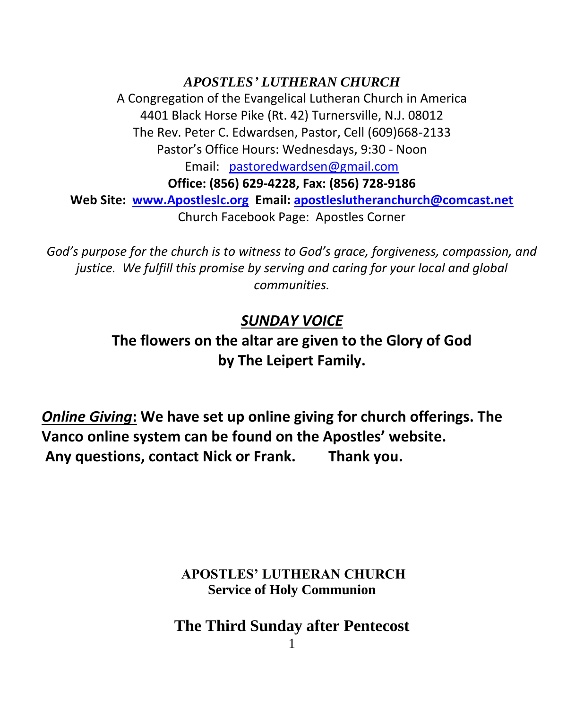# *APOSTLES' LUTHERAN CHURCH*

A Congregation of the Evangelical Lutheran Church in America 4401 Black Horse Pike (Rt. 42) Turnersville, N.J. 08012 The Rev. Peter C. Edwardsen, Pastor, Cell (609)668-2133 Pastor's Office Hours: Wednesdays, 9:30 - Noon Email: [pastoredwardsen@gmail.com](mailto:pastoredwardsen@gmail.com) **Office: (856) 629-4228, Fax: (856) 728-9186**

**Web Site: [www.Apostleslc.org](http://www.apostleslc.org/) Email[: apostleslutheranchurch@comcast.net](mailto:apostleslutheranchurch@comcast.net)** Church Facebook Page: Apostles Corner

*God's purpose for the church is to witness to God's grace, forgiveness, compassion, and justice. We fulfill this promise by serving and caring for your local and global communities.*

# *SUNDAY VOICE*

# **The flowers on the altar are given to the Glory of God by The Leipert Family.**

*Online Giving***: We have set up online giving for church offerings. The Vanco online system can be found on the Apostles' website. Any questions, contact Nick or Frank. Thank you.**

> **APOSTLES' LUTHERAN CHURCH Service of Holy Communion**

# **The Third Sunday after Pentecost**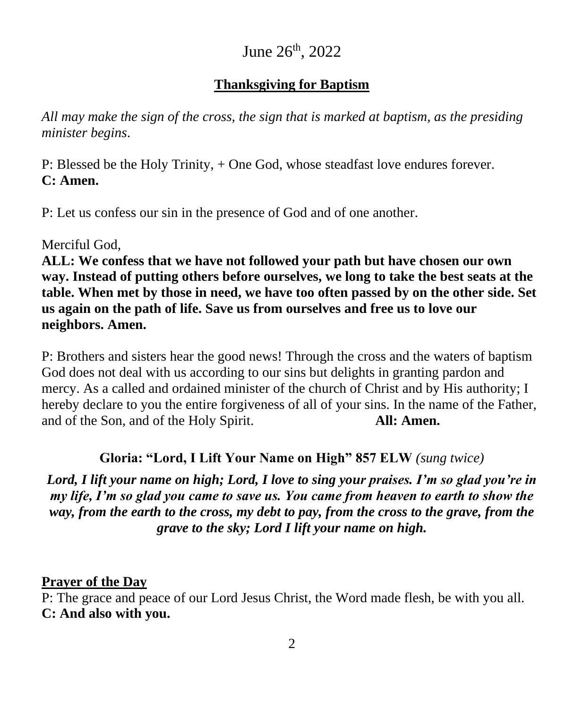# June  $26^{\text{th}}$ , 2022

# **Thanksgiving for Baptism**

*All may make the sign of the cross, the sign that is marked at baptism, as the presiding minister begins*.

P: Blessed be the Holy Trinity, + One God, whose steadfast love endures forever. **C: Amen.**

P: Let us confess our sin in the presence of God and of one another.

# Merciful God,

**ALL: We confess that we have not followed your path but have chosen our own way. Instead of putting others before ourselves, we long to take the best seats at the table. When met by those in need, we have too often passed by on the other side. Set us again on the path of life. Save us from ourselves and free us to love our neighbors. Amen.**

P: Brothers and sisters hear the good news! Through the cross and the waters of baptism God does not deal with us according to our sins but delights in granting pardon and mercy. As a called and ordained minister of the church of Christ and by His authority; I hereby declare to you the entire forgiveness of all of your sins. In the name of the Father, and of the Son, and of the Holy Spirit. **All: Amen.** 

# **Gloria: "Lord, I Lift Your Name on High" 857 ELW** *(sung twice)*

*Lord, I lift your name on high; Lord, I love to sing your praises. I'm so glad you're in my life, I'm so glad you came to save us. You came from heaven to earth to show the way, from the earth to the cross, my debt to pay, from the cross to the grave, from the grave to the sky; Lord I lift your name on high.*

### **Prayer of the Day**

P: The grace and peace of our Lord Jesus Christ, the Word made flesh, be with you all. **C: And also with you.**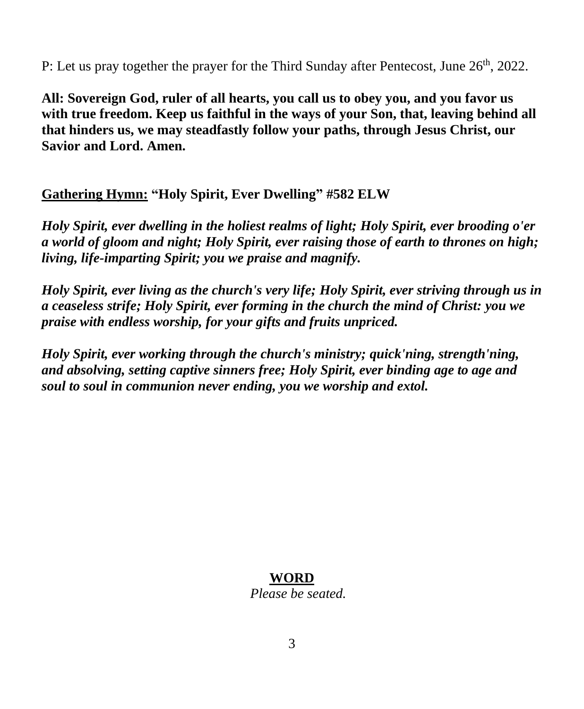P: Let us pray together the prayer for the Third Sunday after Pentecost, June 26<sup>th</sup>, 2022.

**All: Sovereign God, ruler of all hearts, you call us to obey you, and you favor us with true freedom. Keep us faithful in the ways of your Son, that, leaving behind all that hinders us, we may steadfastly follow your paths, through Jesus Christ, our Savior and Lord. Amen.**

# **Gathering Hymn: "Holy Spirit, Ever Dwelling" #582 ELW**

*Holy Spirit, ever dwelling in the holiest realms of light; Holy Spirit, ever brooding o'er a world of gloom and night; Holy Spirit, ever raising those of earth to thrones on high; living, life-imparting Spirit; you we praise and magnify.*

*Holy Spirit, ever living as the church's very life; Holy Spirit, ever striving through us in a ceaseless strife; Holy Spirit, ever forming in the church the mind of Christ: you we praise with endless worship, for your gifts and fruits unpriced.*

*Holy Spirit, ever working through the church's ministry; quick'ning, strength'ning, and absolving, setting captive sinners free; Holy Spirit, ever binding age to age and soul to soul in communion never ending, you we worship and extol.*

# **WORD**

 *Please be seated.*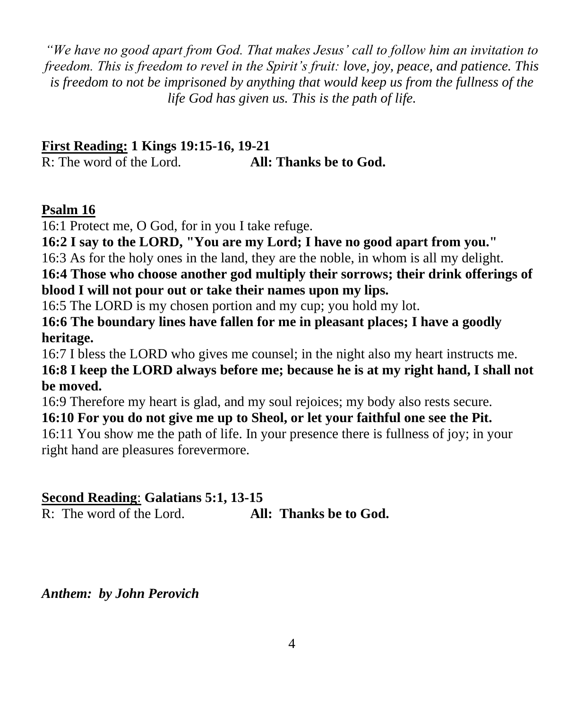*"We have no good apart from God. That makes Jesus' call to follow him an invitation to freedom. This is freedom to revel in the Spirit's fruit: love, joy, peace, and patience. This is freedom to not be imprisoned by anything that would keep us from the fullness of the life God has given us. This is the path of life.*

**First Reading: 1 Kings 19:15-16, 19-21** R: The word of the Lord. **All: Thanks be to God.**

### **Psalm 16**

16:1 Protect me, O God, for in you I take refuge.

**16:2 I say to the LORD, "You are my Lord; I have no good apart from you."** 16:3 As for the holy ones in the land, they are the noble, in whom is all my delight.

**16:4 Those who choose another god multiply their sorrows; their drink offerings of blood I will not pour out or take their names upon my lips.**

16:5 The LORD is my chosen portion and my cup; you hold my lot.

**16:6 The boundary lines have fallen for me in pleasant places; I have a goodly heritage.**

16:7 I bless the LORD who gives me counsel; in the night also my heart instructs me. **16:8 I keep the LORD always before me; because he is at my right hand, I shall not be moved.**

16:9 Therefore my heart is glad, and my soul rejoices; my body also rests secure.

**16:10 For you do not give me up to Sheol, or let your faithful one see the Pit.**

16:11 You show me the path of life. In your presence there is fullness of joy; in your right hand are pleasures forevermore.

### **Second Reading**: **Galatians 5:1, 13-15**

R:The word of the Lord. **All: Thanks be to God.**

*Anthem: by John Perovich*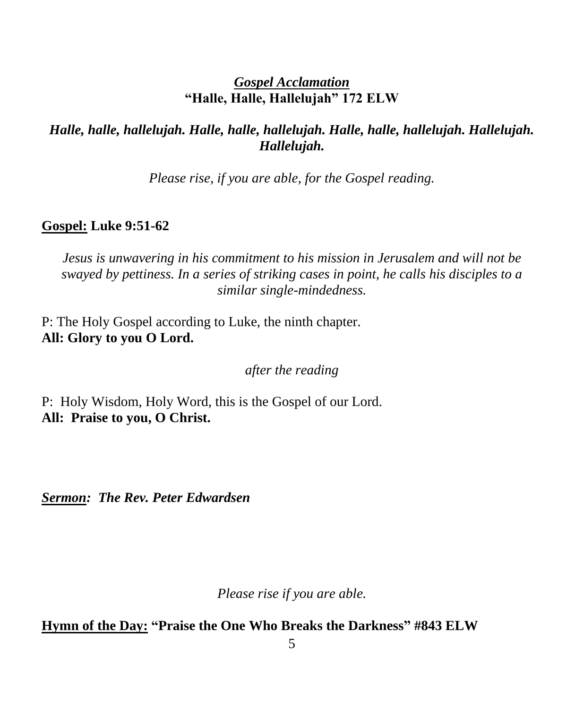#### *Gospel Acclamation* **"Halle, Halle, Hallelujah" 172 ELW**

## *Halle, halle, hallelujah. Halle, halle, hallelujah. Halle, halle, hallelujah. Hallelujah. Hallelujah.*

*Please rise, if you are able, for the Gospel reading.*

#### **Gospel: Luke 9:51-62**

*Jesus is unwavering in his commitment to his mission in Jerusalem and will not be swayed by pettiness. In a series of striking cases in point, he calls his disciples to a similar single-mindedness.* 

P: The Holy Gospel according to Luke, the ninth chapter. **All: Glory to you O Lord.**

*after the reading*

P: Holy Wisdom, Holy Word, this is the Gospel of our Lord. **All: Praise to you, O Christ.**

*Sermon: The Rev. Peter Edwardsen*

*Please rise if you are able.*

**Hymn of the Day: "Praise the One Who Breaks the Darkness" #843 ELW**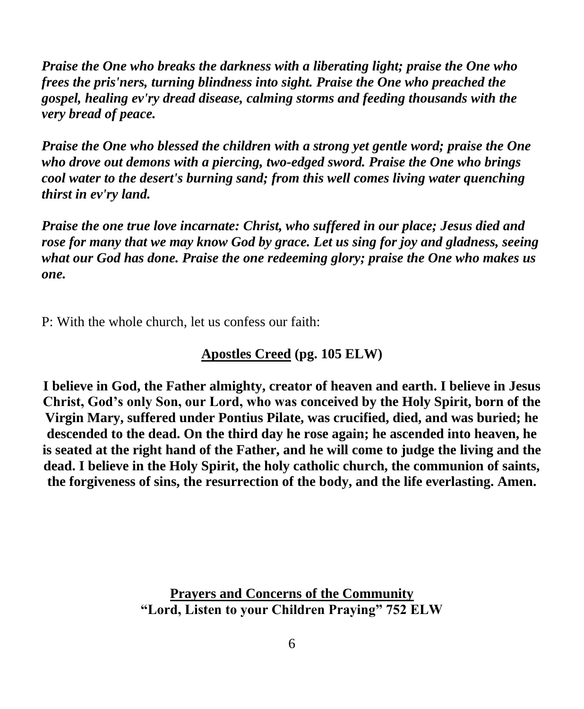*Praise the One who breaks the darkness with a liberating light; praise the One who frees the pris'ners, turning blindness into sight. Praise the One who preached the gospel, healing ev'ry dread disease, calming storms and feeding thousands with the very bread of peace.*

*Praise the One who blessed the children with a strong yet gentle word; praise the One who drove out demons with a piercing, two-edged sword. Praise the One who brings cool water to the desert's burning sand; from this well comes living water quenching thirst in ev'ry land.*

*Praise the one true love incarnate: Christ, who suffered in our place; Jesus died and rose for many that we may know God by grace. Let us sing for joy and gladness, seeing what our God has done. Praise the one redeeming glory; praise the One who makes us one.*

P: With the whole church, let us confess our faith:

## **Apostles Creed (pg. 105 ELW)**

**I believe in God, the Father almighty, creator of heaven and earth. I believe in Jesus Christ, God's only Son, our Lord, who was conceived by the Holy Spirit, born of the Virgin Mary, suffered under Pontius Pilate, was crucified, died, and was buried; he descended to the dead. On the third day he rose again; he ascended into heaven, he is seated at the right hand of the Father, and he will come to judge the living and the dead. I believe in the Holy Spirit, the holy catholic church, the communion of saints, the forgiveness of sins, the resurrection of the body, and the life everlasting. Amen.**

> **Prayers and Concerns of the Community "Lord, Listen to your Children Praying" 752 ELW**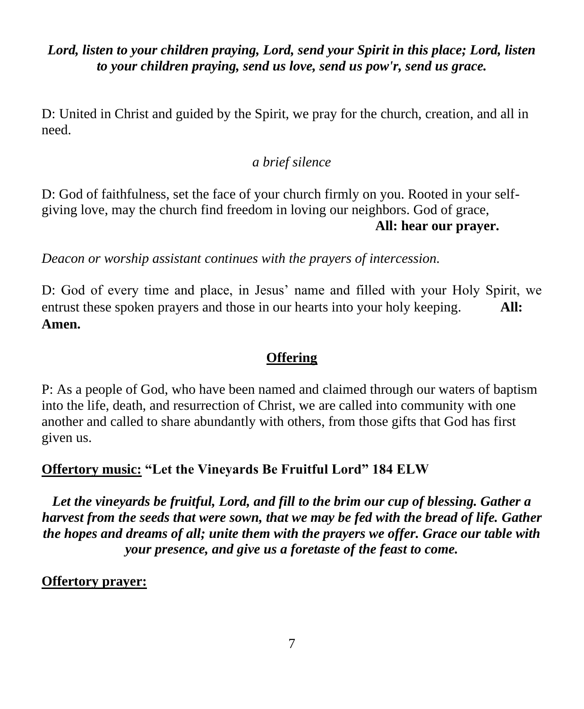### *Lord, listen to your children praying, Lord, send your Spirit in this place; Lord, listen to your children praying, send us love, send us pow'r, send us grace.*

D: United in Christ and guided by the Spirit, we pray for the church, creation, and all in need.

### *a brief silence*

D: God of faithfulness, set the face of your church firmly on you. Rooted in your selfgiving love, may the church find freedom in loving our neighbors. God of grace, **All: hear our prayer.**

*Deacon or worship assistant continues with the prayers of intercession.* 

D: God of every time and place, in Jesus' name and filled with your Holy Spirit, we entrust these spoken prayers and those in our hearts into your holy keeping. **All: Amen.**

# **Offering**

P: As a people of God, who have been named and claimed through our waters of baptism into the life, death, and resurrection of Christ, we are called into community with one another and called to share abundantly with others, from those gifts that God has first given us.

# **Offertory music: "Let the Vineyards Be Fruitful Lord" 184 ELW**

*Let the vineyards be fruitful, Lord, and fill to the brim our cup of blessing. Gather a harvest from the seeds that were sown, that we may be fed with the bread of life. Gather the hopes and dreams of all; unite them with the prayers we offer. Grace our table with your presence, and give us a foretaste of the feast to come.*

**Offertory prayer:**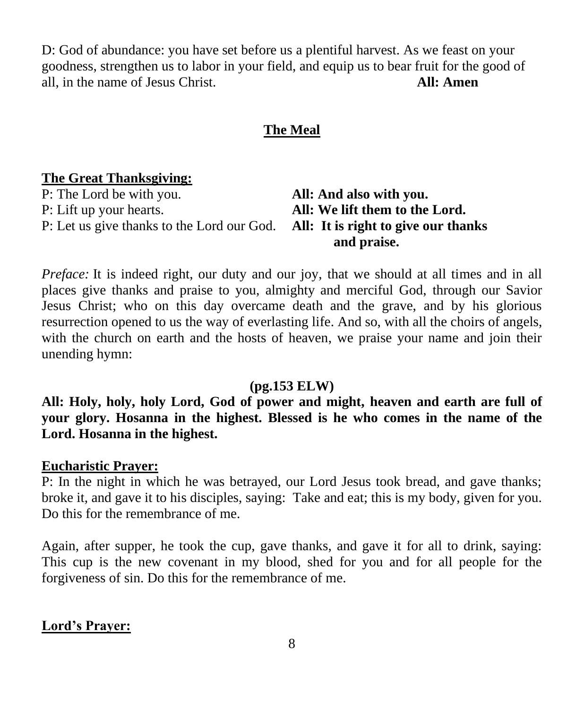D: God of abundance: you have set before us a plentiful harvest. As we feast on your goodness, strengthen us to labor in your field, and equip us to bear fruit for the good of all, in the name of Jesus Christ. **All: Amen**

### **The Meal**

#### **The Great Thanksgiving:**

| P: The Lord be with you.                   | All: And also with you.             |
|--------------------------------------------|-------------------------------------|
| P: Lift up your hearts.                    | All: We lift them to the Lord.      |
| P: Let us give thanks to the Lord our God. | All: It is right to give our thanks |
|                                            | and praise.                         |

*Preface:* It is indeed right, our duty and our joy, that we should at all times and in all places give thanks and praise to you, almighty and merciful God, through our Savior Jesus Christ; who on this day overcame death and the grave, and by his glorious resurrection opened to us the way of everlasting life. And so, with all the choirs of angels, with the church on earth and the hosts of heaven, we praise your name and join their unending hymn:

#### **(pg.153 ELW)**

**All: Holy, holy, holy Lord, God of power and might, heaven and earth are full of your glory. Hosanna in the highest. Blessed is he who comes in the name of the Lord. Hosanna in the highest.**

#### **Eucharistic Prayer:**

P: In the night in which he was betrayed, our Lord Jesus took bread, and gave thanks; broke it, and gave it to his disciples, saying: Take and eat; this is my body, given for you. Do this for the remembrance of me.

Again, after supper, he took the cup, gave thanks, and gave it for all to drink, saying: This cup is the new covenant in my blood, shed for you and for all people for the forgiveness of sin. Do this for the remembrance of me.

#### **Lord's Prayer:**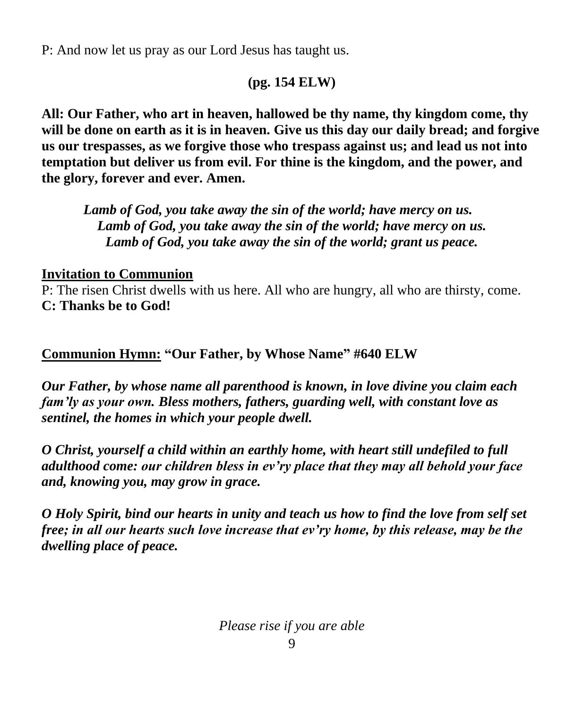P: And now let us pray as our Lord Jesus has taught us.

# **(pg. 154 ELW)**

**All: Our Father, who art in heaven, hallowed be thy name, thy kingdom come, thy will be done on earth as it is in heaven. Give us this day our daily bread; and forgive us our trespasses, as we forgive those who trespass against us; and lead us not into temptation but deliver us from evil. For thine is the kingdom, and the power, and the glory, forever and ever. Amen.**

*Lamb of God, you take away the sin of the world; have mercy on us. Lamb of God, you take away the sin of the world; have mercy on us. Lamb of God, you take away the sin of the world; grant us peace.*

### **Invitation to Communion**

P: The risen Christ dwells with us here. All who are hungry, all who are thirsty, come. **C: Thanks be to God!**

# **Communion Hymn: "Our Father, by Whose Name" #640 ELW**

*Our Father, by whose name all parenthood is known, in love divine you claim each fam'ly as your own. Bless mothers, fathers, guarding well, with constant love as sentinel, the homes in which your people dwell.*

*O Christ, yourself a child within an earthly home, with heart still undefiled to full adulthood come: our children bless in ev'ry place that they may all behold your face and, knowing you, may grow in grace.*

*O Holy Spirit, bind our hearts in unity and teach us how to find the love from self set free; in all our hearts such love increase that ev'ry home, by this release, may be the dwelling place of peace.* 

*Please rise if you are able*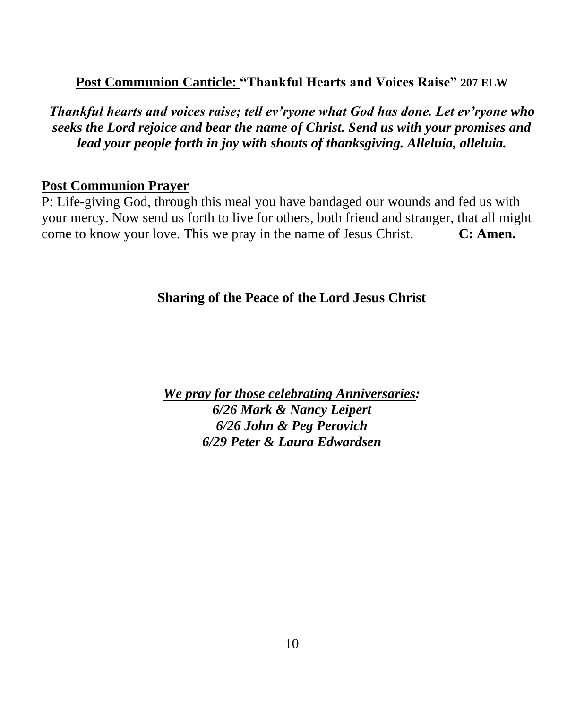### **Post Communion Canticle: "Thankful Hearts and Voices Raise" 207 ELW**

*Thankful hearts and voices raise; tell ev'ryone what God has done. Let ev'ryone who seeks the Lord rejoice and bear the name of Christ. Send us with your promises and lead your people forth in joy with shouts of thanksgiving. Alleluia, alleluia.*

### **Post Communion Prayer**

P: Life-giving God, through this meal you have bandaged our wounds and fed us with your mercy. Now send us forth to live for others, both friend and stranger, that all might come to know your love. This we pray in the name of Jesus Christ. **C: Amen.**

### **Sharing of the Peace of the Lord Jesus Christ**

*We pray for those celebrating Anniversaries: 6/26 Mark & Nancy Leipert 6/26 John & Peg Perovich 6/29 Peter & Laura Edwardsen*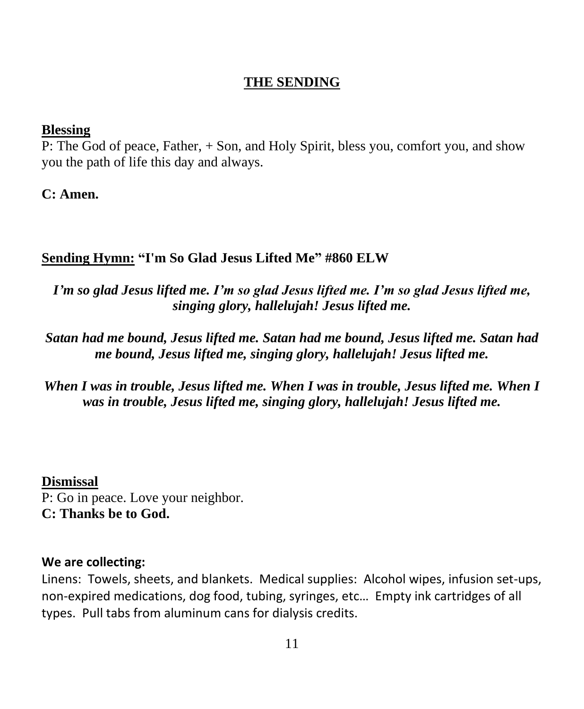## **THE SENDING**

#### **Blessing**

P: The God of peace, Father, + Son, and Holy Spirit, bless you, comfort you, and show you the path of life this day and always.

**C: Amen.** 

# **Sending Hymn: "I'm So Glad Jesus Lifted Me" #860 ELW**

*I'm so glad Jesus lifted me. I'm so glad Jesus lifted me. I'm so glad Jesus lifted me, singing glory, hallelujah! Jesus lifted me.*

*Satan had me bound, Jesus lifted me. Satan had me bound, Jesus lifted me. Satan had me bound, Jesus lifted me, singing glory, hallelujah! Jesus lifted me.*

*When I was in trouble, Jesus lifted me. When I was in trouble, Jesus lifted me. When I was in trouble, Jesus lifted me, singing glory, hallelujah! Jesus lifted me.*

**Dismissal** P: Go in peace. Love your neighbor. **C: Thanks be to God.** 

### **We are collecting:**

Linens: Towels, sheets, and blankets. Medical supplies: Alcohol wipes, infusion set-ups, non-expired medications, dog food, tubing, syringes, etc… Empty ink cartridges of all types. Pull tabs from aluminum cans for dialysis credits.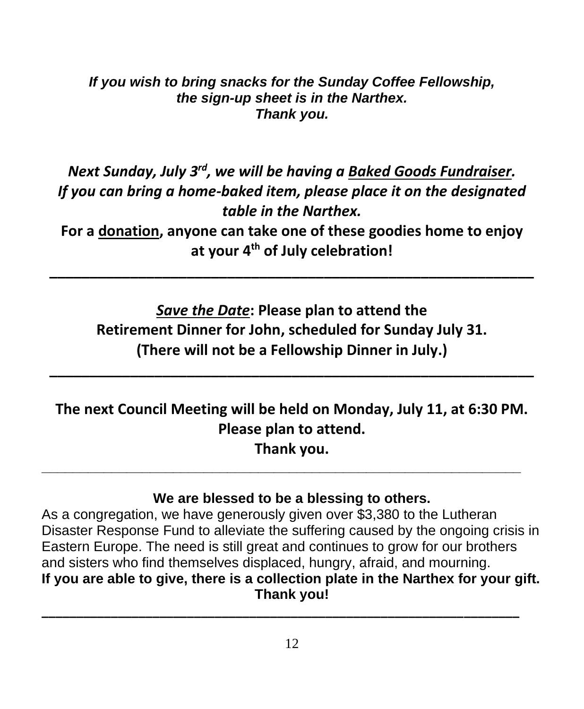*If you wish to bring snacks for the Sunday Coffee Fellowship, the sign-up sheet is in the Narthex. Thank you.*

*Next Sunday, July 3rd, we will be having a Baked Goods Fundraiser. If you can bring a home-baked item, please place it on the designated table in the Narthex.*

**For a donation, anyone can take one of these goodies home to enjoy at your 4th of July celebration!**

**\_\_\_\_\_\_\_\_\_\_\_\_\_\_\_\_\_\_\_\_\_\_\_\_\_\_\_\_\_\_\_\_\_\_\_\_\_\_\_\_\_\_\_\_\_\_\_\_\_\_\_\_\_\_\_\_\_\_\_\_**

*Save the Date***: Please plan to attend the Retirement Dinner for John, scheduled for Sunday July 31. (There will not be a Fellowship Dinner in July.)**

**\_\_\_\_\_\_\_\_\_\_\_\_\_\_\_\_\_\_\_\_\_\_\_\_\_\_\_\_\_\_\_\_\_\_\_\_\_\_\_\_\_\_\_\_\_\_\_\_\_\_\_\_\_\_\_\_\_\_\_\_**

**The next Council Meeting will be held on Monday, July 11, at 6:30 PM. Please plan to attend. Thank you.**

**\_\_\_\_\_\_\_\_\_\_\_\_\_\_\_\_\_\_\_\_\_\_\_\_\_\_\_\_\_\_\_\_\_\_\_\_\_\_\_\_\_\_\_\_\_\_\_\_\_\_\_\_\_\_\_\_\_\_\_\_\_\_**

# **We are blessed to be a blessing to others.**

As a congregation, we have generously given over \$3,380 to the Lutheran Disaster Response Fund to alleviate the suffering caused by the ongoing crisis in Eastern Europe. The need is still great and continues to grow for our brothers and sisters who find themselves displaced, hungry, afraid, and mourning. **If you are able to give, there is a collection plate in the Narthex for your gift. Thank you!**

**\_\_\_\_\_\_\_\_\_\_\_\_\_\_\_\_\_\_\_\_\_\_\_\_\_\_\_\_\_\_\_\_\_\_\_\_\_\_\_\_\_\_\_\_\_\_\_\_\_\_\_\_\_\_\_\_\_\_\_\_\_\_\_\_\_\_\_\_\_**